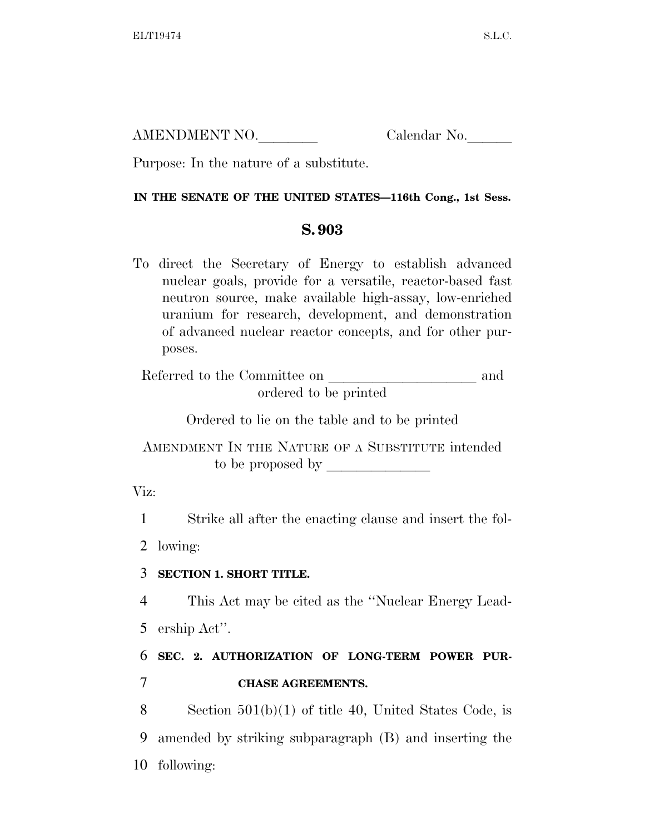AMENDMENT NO. Calendar No.

Purpose: In the nature of a substitute.

### **IN THE SENATE OF THE UNITED STATES—116th Cong., 1st Sess.**

## **S. 903**

To direct the Secretary of Energy to establish advanced nuclear goals, provide for a versatile, reactor-based fast neutron source, make available high-assay, low-enriched uranium for research, development, and demonstration of advanced nuclear reactor concepts, and for other purposes.

Referred to the Committee on and ordered to be printed

Ordered to lie on the table and to be printed

AMENDMENT IN THE NATURE OF A SUBSTITUTE intended to be proposed by  $\Box$ 

Viz:

1 Strike all after the enacting clause and insert the fol-

2 lowing:

## 3 **SECTION 1. SHORT TITLE.**

4 This Act may be cited as the ''Nuclear Energy Lead-5 ership Act''.

# 6 **SEC. 2. AUTHORIZATION OF LONG-TERM POWER PUR-**7 **CHASE AGREEMENTS.**

8 Section 501(b)(1) of title 40, United States Code, is 9 amended by striking subparagraph (B) and inserting the 10 following: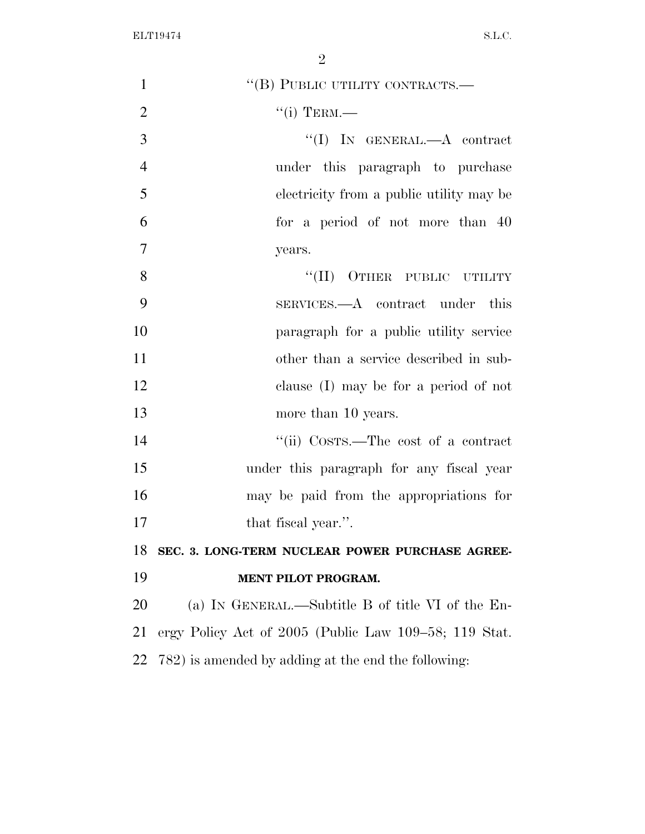| $\mathbf{1}$   | "(B) PUBLIC UTILITY CONTRACTS.-                       |
|----------------|-------------------------------------------------------|
| $\overline{2}$ | $``(i)$ TERM.—                                        |
| 3              | "(I) IN GENERAL.— $A$ contract                        |
| $\overline{4}$ | under this paragraph to purchase                      |
| 5              | electricity from a public utility may be              |
| 6              | for a period of not more than 40                      |
| $\overline{7}$ | years.                                                |
| 8              | "(II) OTHER PUBLIC UTILITY                            |
| 9              | SERVICES.—A contract under this                       |
| 10             | paragraph for a public utility service                |
| 11             | other than a service described in sub-                |
| 12             | clause (I) may be for a period of not                 |
| 13             | more than 10 years.                                   |
| 14             | "(ii) Costrs.—The cost of a contract                  |
| 15             | under this paragraph for any fiscal year              |
| 16             | may be paid from the appropriations for               |
| 17             | that fiscal year.".                                   |
| 18             | SEC. 3. LONG-TERM NUCLEAR POWER PURCHASE AGREE-       |
| 19             | MENT PILOT PROGRAM.                                   |
| 20             | (a) IN GENERAL.—Subtitle B of title VI of the En-     |
| 21             | ergy Policy Act of 2005 (Public Law 109–58; 119 Stat. |
| 22             | 782) is amended by adding at the end the following:   |
|                |                                                       |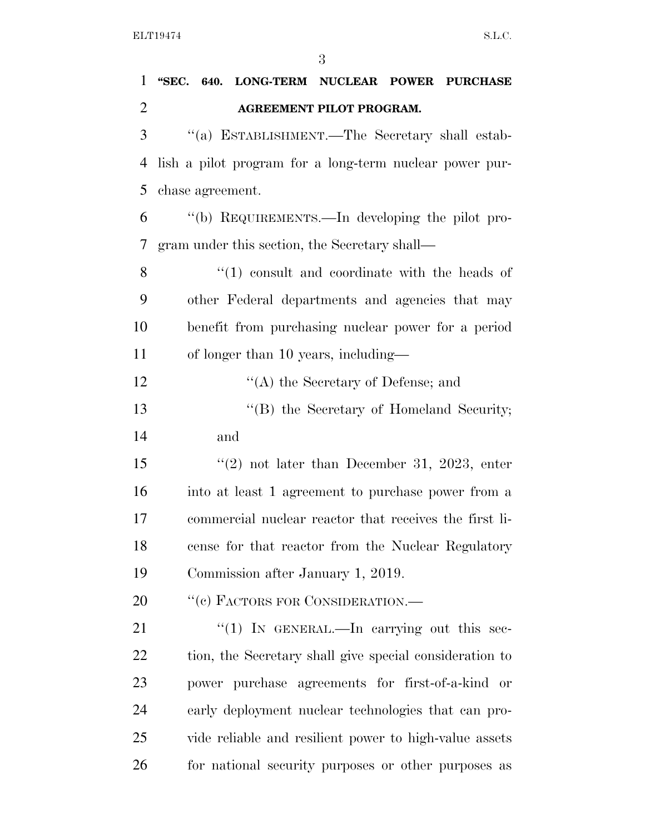| $\mathbf{1}$   | "SEC. 640. LONG-TERM NUCLEAR POWER PURCHASE             |
|----------------|---------------------------------------------------------|
| $\overline{2}$ | AGREEMENT PILOT PROGRAM.                                |
| 3              | "(a) ESTABLISHMENT.—The Secretary shall estab-          |
| 4              | lish a pilot program for a long-term nuclear power pur- |
| 5              | chase agreement.                                        |
| 6              | "(b) REQUIREMENTS.—In developing the pilot pro-         |
| 7              | gram under this section, the Secretary shall—           |
| 8              | $\cdot$ (1) consult and coordinate with the heads of    |
| 9              | other Federal departments and agencies that may         |
| 10             | benefit from purchasing nuclear power for a period      |
| 11             | of longer than 10 years, including—                     |
| 12             | $\lq\lq$ the Secretary of Defense; and                  |
| 13             | "(B) the Secretary of Homeland Security;                |
| 14             | and                                                     |
| 15             | "(2) not later than December 31, 2023, enter            |
| 16             | into at least 1 agreement to purchase power from a      |
| 17             | commercial nuclear reactor that receives the first li-  |
| 18             | cense for that reactor from the Nuclear Regulatory      |
| 19             | Commission after January 1, 2019.                       |
| 20             | "(c) FACTORS FOR CONSIDERATION.-                        |
| 21             | "(1) IN GENERAL.—In carrying out this sec-              |
| <u>22</u>      | tion, the Secretary shall give special consideration to |
| 23             | power purchase agreements for first-of-a-kind or        |
| 24             | early deployment nuclear technologies that can pro-     |
| 25             | vide reliable and resilient power to high-value assets  |
| 26             | for national security purposes or other purposes as     |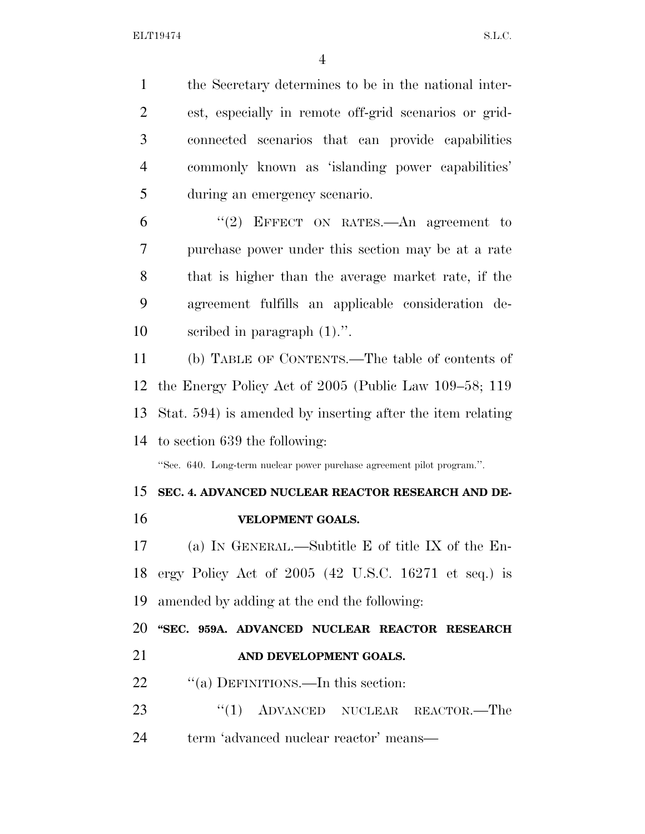the Secretary determines to be in the national inter- est, especially in remote off-grid scenarios or grid- connected scenarios that can provide capabilities commonly known as 'islanding power capabilities' during an emergency scenario.

 ''(2) EFFECT ON RATES.—An agreement to purchase power under this section may be at a rate that is higher than the average market rate, if the agreement fulfills an applicable consideration de-scribed in paragraph (1).''.

 (b) TABLE OF CONTENTS.—The table of contents of the Energy Policy Act of 2005 (Public Law 109–58; 119 Stat. 594) is amended by inserting after the item relating to section 639 the following:

''Sec. 640. Long-term nuclear power purchase agreement pilot program.''.

## **SEC. 4. ADVANCED NUCLEAR REACTOR RESEARCH AND DE-**

**VELOPMENT GOALS.** 

 (a) IN GENERAL.—Subtitle E of title IX of the En- ergy Policy Act of 2005 (42 U.S.C. 16271 et seq.) is amended by adding at the end the following:

 **''SEC. 959A. ADVANCED NUCLEAR REACTOR RESEARCH AND DEVELOPMENT GOALS.** 

- 22 "(a) DEFINITIONS.—In this section:
- 23 "(1) ADVANCED NUCLEAR REACTOR.—The 24 term 'advanced nuclear reactor' means—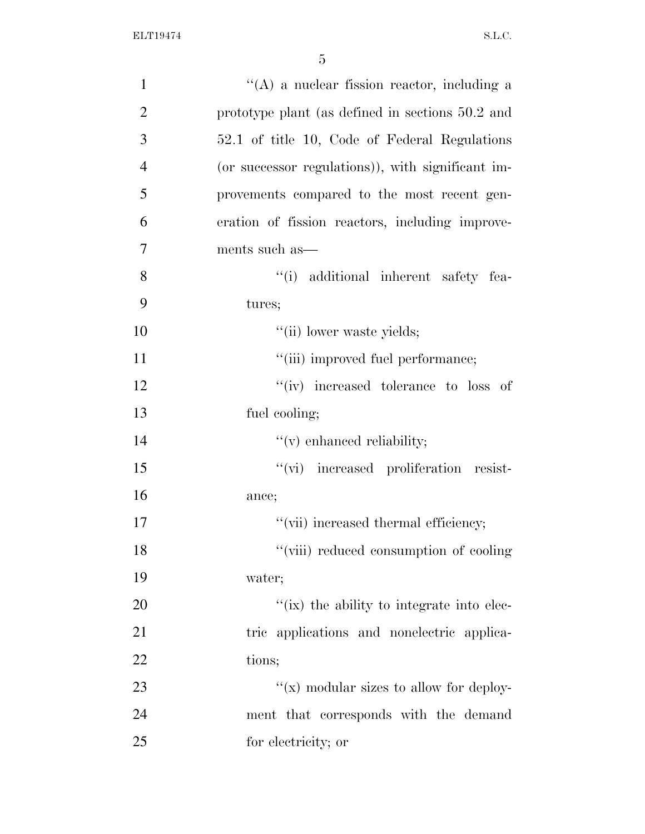| $\mathbf{1}$   | $\lq\lq$ a nuclear fission reactor, including a   |
|----------------|---------------------------------------------------|
| $\overline{2}$ | prototype plant (as defined in sections 50.2 and  |
| 3              | 52.1 of title 10, Code of Federal Regulations     |
| $\overline{4}$ | (or successor regulations)), with significant im- |
| 5              | provements compared to the most recent gen-       |
| 6              | eration of fission reactors, including improve-   |
| 7              | ments such as—                                    |
| 8              | "(i) additional inherent safety fea-              |
| 9              | tures;                                            |
| 10             | "(ii) lower waste yields;                         |
| 11             | "(iii) improved fuel performance;                 |
| 12             | "(iv) increased tolerance to loss of              |
| 13             | fuel cooling;                                     |
| 14             | $f'(v)$ enhanced reliability;                     |
| 15             | "(vi) increased proliferation resist-             |
| 16             | ance;                                             |
| 17             | "(vii) increased thermal efficiency;              |
| 18             | "(viii) reduced consumption of cooling            |
| 19             | water;                                            |
| 20             | "(ix) the ability to integrate into elec-         |
| 21             | tric applications and nonelectric applica-        |
| 22             | tions;                                            |
| 23             | " $(x)$ modular sizes to allow for deploy-        |
| 24             | ment that corresponds with the demand             |
| 25             | for electricity; or                               |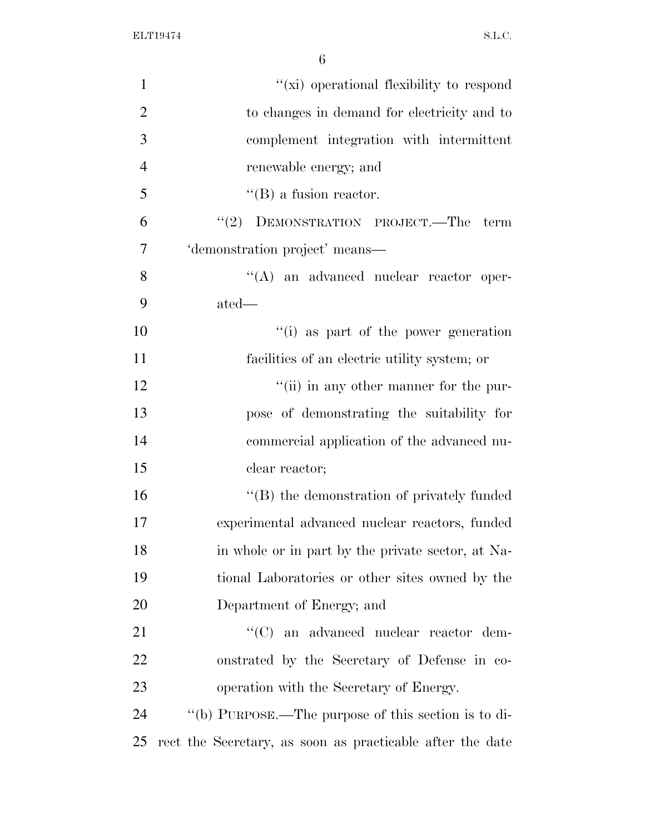| $\mathbf{1}$   | "(xi) operational flexibility to respond                  |
|----------------|-----------------------------------------------------------|
| $\overline{2}$ | to changes in demand for electricity and to               |
| 3              | complement integration with intermittent                  |
| $\overline{4}$ | renewable energy; and                                     |
| 5              | $\lq\lq$ (B) a fusion reactor.                            |
| 6              | DEMONSTRATION PROJECT.—The<br>(2)<br>term                 |
| $\overline{7}$ | 'demonstration project' means—                            |
| 8              | $\lq\lq$ an advanced nuclear reactor oper-                |
| 9              | $\text{ated}$ —                                           |
| 10             | "(i) as part of the power generation                      |
| 11             | facilities of an electric utility system; or              |
| 12             | "(ii) in any other manner for the pur-                    |
| 13             | pose of demonstrating the suitability for                 |
| 14             | commercial application of the advanced nu-                |
| 15             | clear reactor;                                            |
| 16             | "(B) the demonstration of privately funded                |
| 17             | experimental advanced nuclear reactors, funded            |
| 18             | in whole or in part by the private sector, at Na-         |
| 19             | tional Laboratories or other sites owned by the           |
| 20             | Department of Energy; and                                 |
| 21             | "(C) an advanced nuclear reactor dem-                     |
| 22             | onstrated by the Secretary of Defense in co-              |
| 23             | operation with the Secretary of Energy.                   |
| 24             | "(b) PURPOSE.—The purpose of this section is to di-       |
| 25             | rect the Secretary, as soon as practicable after the date |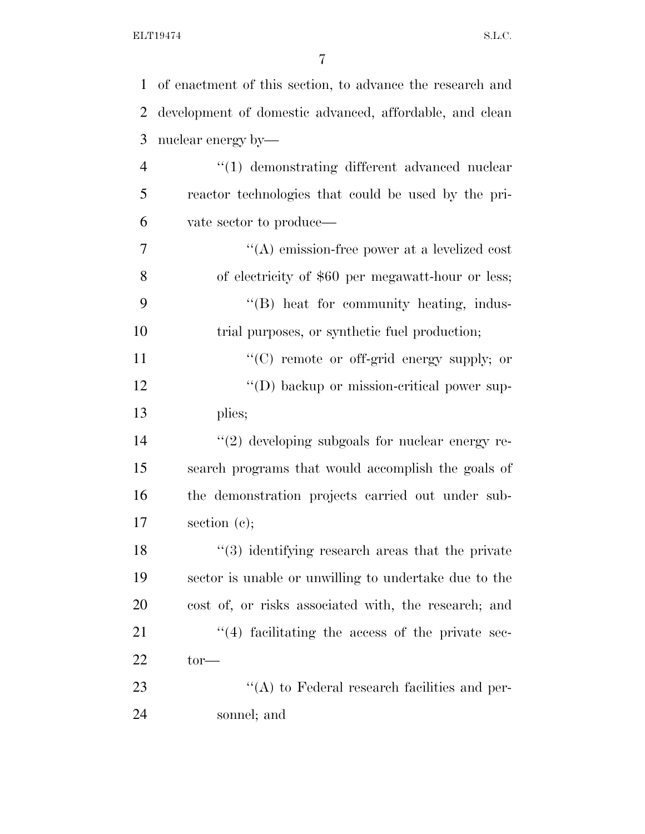| $\mathbf{1}$   | of enactment of this section, to advance the research and |
|----------------|-----------------------------------------------------------|
| $\overline{2}$ | development of domestic advanced, affordable, and clean   |
| 3              | nuclear energy by—                                        |
| 4              | $\lq(1)$ demonstrating different advanced nuclear         |
| 5              | reactor technologies that could be used by the pri-       |
| 6              | vate sector to produce—                                   |
| 7              | $\lq\lq$ emission-free power at a levelized cost          |
| 8              | of electricity of \$60 per megawatt-hour or less;         |
| 9              | "(B) heat for community heating, indus-                   |
| 10             | trial purposes, or synthetic fuel production;             |
| 11             | $\lq\lq$ remote or off-grid energy supply; or             |
| 12             | "(D) backup or mission-critical power sup-                |
| 13             | plies;                                                    |
| 14             | $\lq(2)$ developing subgoals for nuclear energy re-       |
| 15             | search programs that would accomplish the goals of        |
| 16             | the demonstration projects carried out under sub-         |
| 17             | section $(e)$ ;                                           |
| 18             | $\lq(3)$ identifying research areas that the private      |
| 19             | sector is unable or unwilling to undertake due to the     |
| 20             | cost of, or risks associated with, the research; and      |
| 21             | $((4)$ facilitating the access of the private sec-        |
| 22             | $tor$ —                                                   |
| 23             | $\lq\lq$ to Federal research facilities and per-          |
| 24             | sonnel; and                                               |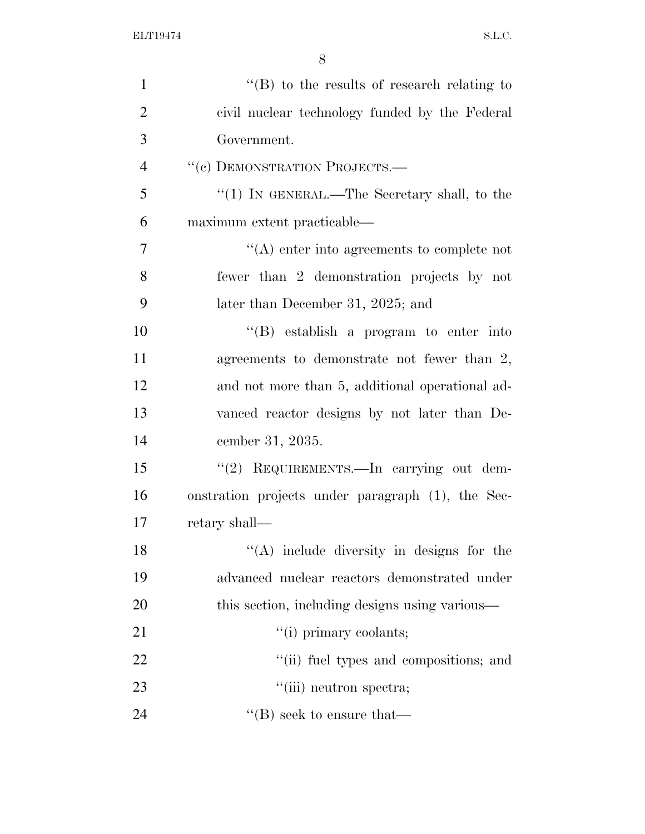| $\mathbf{1}$   | $\lq\lq (B)$ to the results of research relating to |
|----------------|-----------------------------------------------------|
| $\overline{2}$ | civil nuclear technology funded by the Federal      |
| 3              | Government.                                         |
| $\overline{4}$ | "(c) DEMONSTRATION PROJECTS.-                       |
| 5              | " $(1)$ IN GENERAL.—The Secretary shall, to the     |
| 6              | maximum extent practicable—                         |
| $\overline{7}$ | $\lq\lq$ enter into agreements to complete not      |
| 8              | fewer than 2 demonstration projects by not          |
| 9              | later than December 31, 2025; and                   |
| 10             | $\lq\lq$ establish a program to enter into          |
| 11             | agreements to demonstrate not fewer than 2,         |
| 12             | and not more than 5, additional operational ad-     |
| 13             | vanced reactor designs by not later than De-        |
| 14             | cember 31, 2035.                                    |
| 15             | "(2) REQUIREMENTS.—In carrying out dem-             |
| 16             | onstration projects under paragraph (1), the Sec-   |
| 17             | retary shall—                                       |
| 18             | $\lq($ A) include diversity in designs for the      |
| 19             | advanced nuclear reactors demonstrated under        |
| 20             | this section, including designs using various—      |
| 21             | "(i) primary coolants;                              |
| 22             | "(ii) fuel types and compositions; and              |
| 23             | "(iii) neutron spectra;                             |
| 24             | $\lq\lq$ (B) seek to ensure that—                   |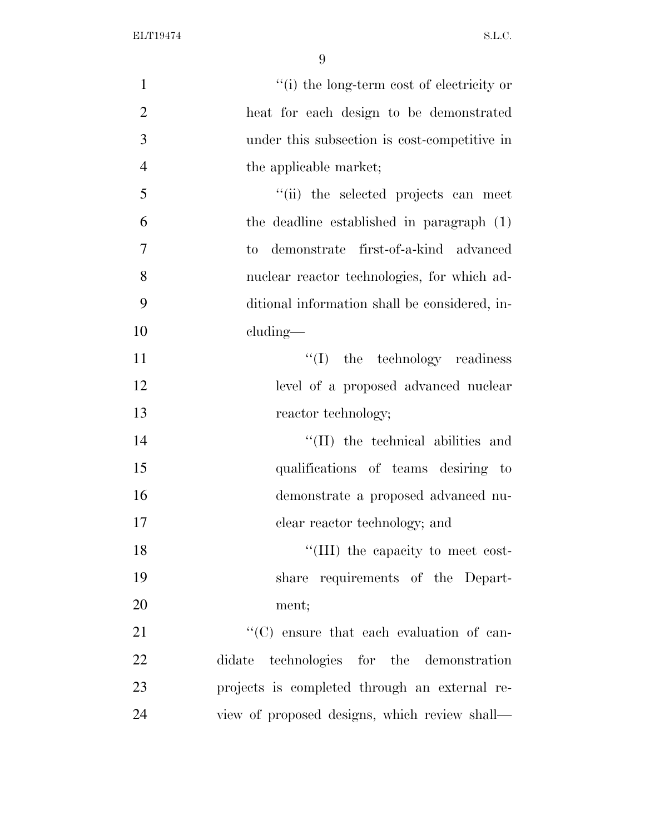| $\mathbf{1}$   | "(i) the long-term cost of electricity or     |
|----------------|-----------------------------------------------|
| $\overline{2}$ | heat for each design to be demonstrated       |
| 3              | under this subsection is cost-competitive in  |
| $\overline{4}$ | the applicable market;                        |
| 5              | "(ii) the selected projects can meet          |
| 6              | the deadline established in paragraph (1)     |
| $\overline{7}$ | demonstrate first-of-a-kind advanced<br>to    |
| 8              | nuclear reactor technologies, for which ad-   |
| 9              | ditional information shall be considered, in- |
| 10             | cluding—                                      |
| 11             | $\lq\lq$ (I) the technology readiness         |
| 12             | level of a proposed advanced nuclear          |
| 13             | reactor technology;                           |
| 14             | $\lq\lq$ (II) the technical abilities and     |
| 15             | qualifications of teams desiring to           |
| 16             | demonstrate a proposed advanced nu-           |
| 17             | clear reactor technology; and                 |
| 18             | "(III) the capacity to meet cost-             |
| 19             | share requirements of the Depart-             |
| 20             | ment;                                         |
| 21             | "(C) ensure that each evaluation of can-      |
| 22             | didate technologies for the demonstration     |
| 23             | projects is completed through an external re- |
| 24             | view of proposed designs, which review shall— |
|                |                                               |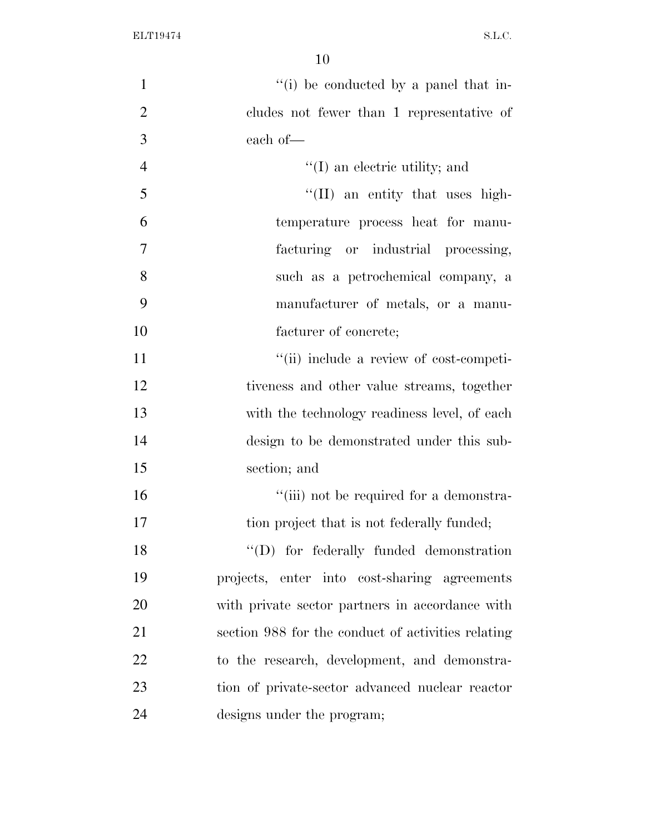| $\mathbf{1}$   | "(i) be conducted by a panel that in-              |
|----------------|----------------------------------------------------|
| $\overline{2}$ | cludes not fewer than 1 representative of          |
| 3              | each of-                                           |
| $\overline{4}$ | $\lq\lq$ (I) an electric utility; and              |
| 5              | $\lq\lq$ (II) an entity that uses high-            |
| 6              | temperature process heat for manu-                 |
| $\overline{7}$ | facturing or industrial processing,                |
| 8              | such as a petrochemical company, a                 |
| 9              | manufacturer of metals, or a manu-                 |
| 10             | facturer of concrete;                              |
| 11             | "(ii) include a review of cost-competi-            |
| 12             | tiveness and other value streams, together         |
| 13             | with the technology readiness level, of each       |
| 14             | design to be demonstrated under this sub-          |
| 15             | section; and                                       |
| 16             | "(iii) not be required for a demonstra-            |
| 17             | tion project that is not federally funded;         |
| 18             | "(D) for federally funded demonstration            |
| 19             | projects, enter into cost-sharing agreements       |
| 20             | with private sector partners in accordance with    |
| 21             | section 988 for the conduct of activities relating |
| 22             | to the research, development, and demonstra-       |
| 23             | tion of private-sector advanced nuclear reactor    |
| 24             | designs under the program;                         |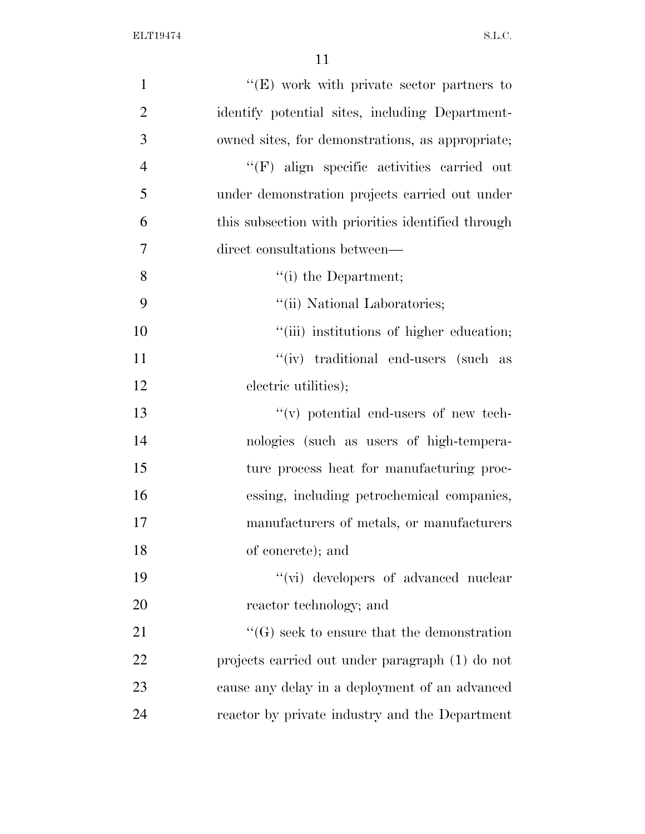| $\mathbf{1}$   | "(E) work with private sector partners to          |
|----------------|----------------------------------------------------|
| $\overline{2}$ | identify potential sites, including Department-    |
| 3              | owned sites, for demonstrations, as appropriate;   |
| $\overline{4}$ | "(F) align specific activities carried out         |
| 5              | under demonstration projects carried out under     |
| 6              | this subsection with priorities identified through |
| 7              | direct consultations between—                      |
| 8              | $f(i)$ the Department;                             |
| 9              | "(ii) National Laboratories;                       |
| 10             | "(iii) institutions of higher education;           |
| 11             | "(iv) traditional end-users (such as               |
| 12             | electric utilities);                               |
| 13             | $\lq\lq$ (v) potential end-users of new tech-      |
| 14             | nologies (such as users of high-tempera-           |
| 15             | ture process heat for manufacturing proc-          |
| 16             | essing, including petrochemical companies,         |
| 17             | manufacturers of metals, or manufacturers          |
| 18             | of concrete); and                                  |
| 19             | "(vi) developers of advanced nuclear               |
| 20             | reactor technology; and                            |
| 21             | $\lq\lq(G)$ seek to ensure that the demonstration  |
| 22             | projects carried out under paragraph (1) do not    |
| 23             | cause any delay in a deployment of an advanced     |
| 24             | reactor by private industry and the Department     |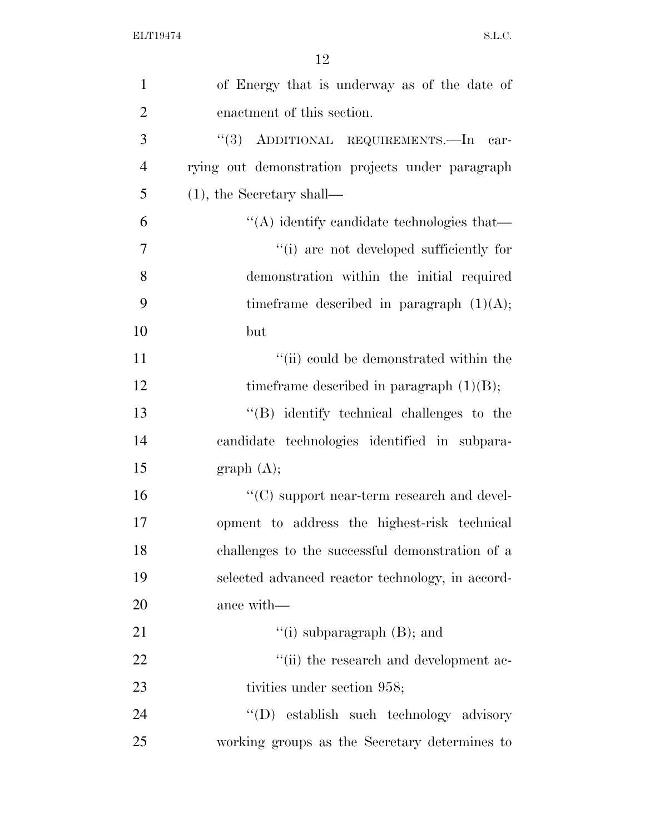| $\mathbf{1}$   | of Energy that is underway as of the date of       |
|----------------|----------------------------------------------------|
| $\overline{2}$ | enactment of this section.                         |
| 3              | "(3) ADDITIONAL REQUIREMENTS.—In car-              |
| $\overline{4}$ | rying out demonstration projects under paragraph   |
| 5              | $(1)$ , the Secretary shall—                       |
| 6              | $\lq\lq$ identify candidate technologies that—     |
| $\overline{7}$ | "(i) are not developed sufficiently for            |
| 8              | demonstration within the initial required          |
| 9              | time frame described in paragraph $(1)(A)$ ;       |
| 10             | but                                                |
| 11             | "(ii) could be demonstrated within the             |
| 12             | time frame described in paragraph $(1)(B)$ ;       |
| 13             | $\lq\lq$ identify technical challenges to the      |
| 14             | candidate technologies identified in subpara-      |
| 15             | graph(A);                                          |
| 16             | $\lq\lq$ (C) support near-term research and devel- |
| 17             | opment to address the highest-risk technical       |
| 18             | challenges to the successful demonstration of a    |
| 19             | selected advanced reactor technology, in accord-   |
| 20             | ance with—                                         |
| 21             | "(i) subparagraph $(B)$ ; and                      |
| 22             | "(ii) the research and development ac-             |
| 23             | tivities under section 958;                        |
| 24             | "(D) establish such technology advisory            |
| 25             | working groups as the Secretary determines to      |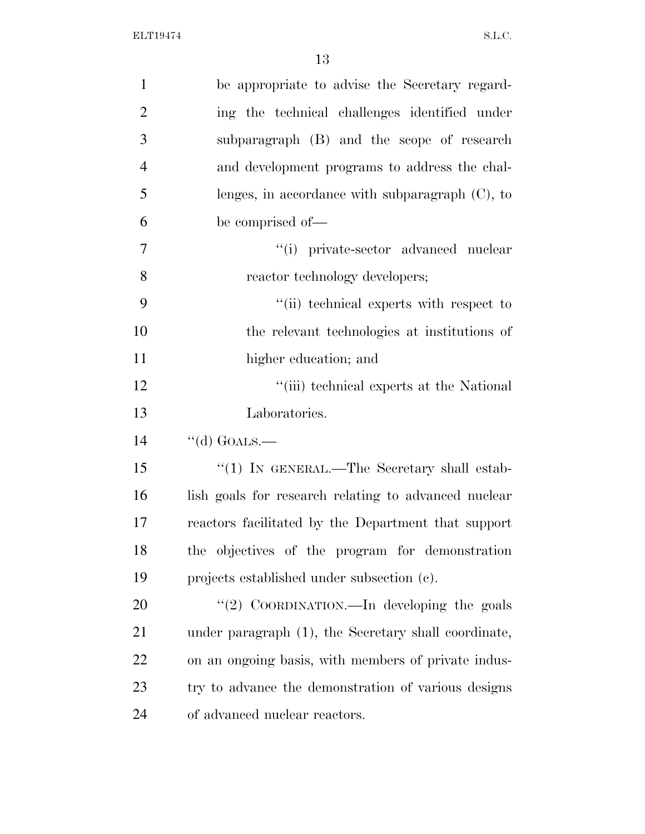| $\mathbf{1}$   | be appropriate to advise the Secretary regard-       |
|----------------|------------------------------------------------------|
| $\overline{2}$ | ing the technical challenges identified under        |
| 3              | subparagraph (B) and the scope of research           |
| $\overline{4}$ | and development programs to address the chal-        |
| 5              | lenges, in accordance with subparagraph $(C)$ , to   |
| 6              | be comprised of—                                     |
| $\overline{7}$ | $``(i)$ private-sector advanced nuclear              |
| 8              | reactor technology developers;                       |
| 9              | "(ii) technical experts with respect to              |
| 10             | the relevant technologies at institutions of         |
| 11             | higher education; and                                |
| 12             | "(iii) technical experts at the National             |
| 13             | Laboratories.                                        |
| 14             | "(d) GOALS.—                                         |
| 15             | " $(1)$ IN GENERAL.—The Secretary shall estab-       |
|                |                                                      |
| 16             | lish goals for research relating to advanced nuclear |
| 17             | reactors facilitated by the Department that support  |
| 18             | the objectives of the program for demonstration      |
| 19             | projects established under subsection (c).           |
| 20             | "(2) COORDINATION.—In developing the goals           |
| 21             | under paragraph (1), the Secretary shall coordinate, |
| 22             | on an ongoing basis, with members of private indus-  |
| 23             | try to advance the demonstration of various designs  |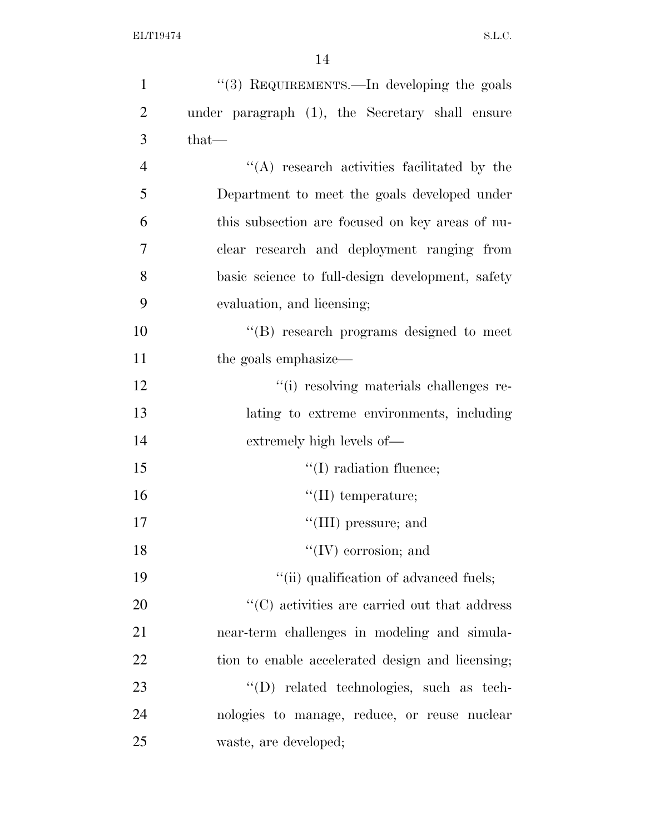| $\mathbf{1}$   | "(3) REQUIREMENTS.—In developing the goals          |
|----------------|-----------------------------------------------------|
| $\overline{2}$ | under paragraph (1), the Secretary shall ensure     |
| 3              | that-                                               |
| $\overline{4}$ | $\lq\lq$ research activities facilitated by the     |
| 5              | Department to meet the goals developed under        |
| 6              | this subsection are focused on key areas of nu-     |
| 7              | clear research and deployment ranging from          |
| 8              | basic science to full-design development, safety    |
| 9              | evaluation, and licensing;                          |
| 10             | "(B) research programs designed to meet             |
| 11             | the goals emphasize—                                |
| 12             | "(i) resolving materials challenges re-             |
| 13             | lating to extreme environments, including           |
| 14             | extremely high levels of—                           |
| 15             | $\lq\lq$ radiation fluence;                         |
| 16             | $\lq\lq$ (II) temperature;                          |
| 17             | $\lq\lq$ (III) pressure; and                        |
| 18             | $``(IV)$ corrosion; and                             |
| 19             | "(ii) qualification of advanced fuels;              |
| 20             | $\cdot$ (C) activities are carried out that address |
| 21             | near-term challenges in modeling and simula-        |
| 22             | tion to enable accelerated design and licensing;    |
| 23             | "(D) related technologies, such as tech-            |
| 24             | nologies to manage, reduce, or reuse nuclear        |
| 25             | waste, are developed;                               |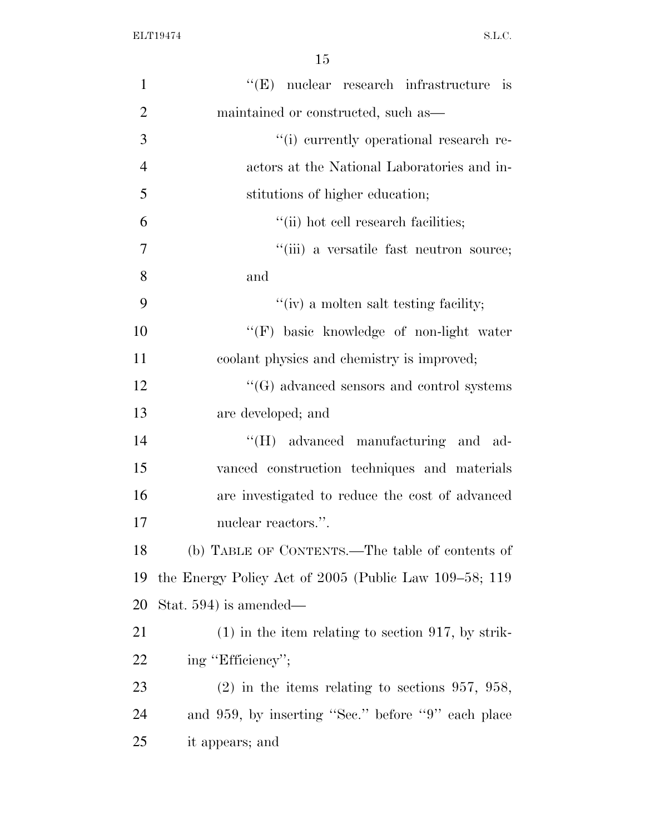| $\mathbf{1}$   | $\lq\lq(E)$ nuclear research infrastructure is        |
|----------------|-------------------------------------------------------|
| $\overline{2}$ | maintained or constructed, such as—                   |
| 3              | "(i) currently operational research re-               |
| $\overline{4}$ | actors at the National Laboratories and in-           |
| 5              | stitutions of higher education;                       |
| 6              | "(ii) hot cell research facilities;                   |
| 7              | "(iii) a versatile fast neutron source;               |
| 8              | and                                                   |
| 9              | "(iv) a molten salt testing facility;                 |
| 10             | "(F) basic knowledge of non-light water               |
| 11             | coolant physics and chemistry is improved;            |
| 12             | $\lq\lq(G)$ advanced sensors and control systems      |
| 13             | are developed; and                                    |
| 14             | "(H) advanced manufacturing and ad-                   |
| 15             | vanced construction techniques and materials          |
| 16             | are investigated to reduce the cost of advanced       |
| 17             | nuclear reactors.".                                   |
| 18             | (b) TABLE OF CONTENTS.—The table of contents of       |
| 19             | the Energy Policy Act of 2005 (Public Law 109–58; 119 |
| 20             | Stat. 594) is amended—                                |
| 21             | $(1)$ in the item relating to section 917, by strik-  |
| 22             | ing "Efficiency";                                     |
| 23             | $(2)$ in the items relating to sections 957, 958,     |
| 24             | and 959, by inserting "Sec." before "9" each place    |
| 25             | it appears; and                                       |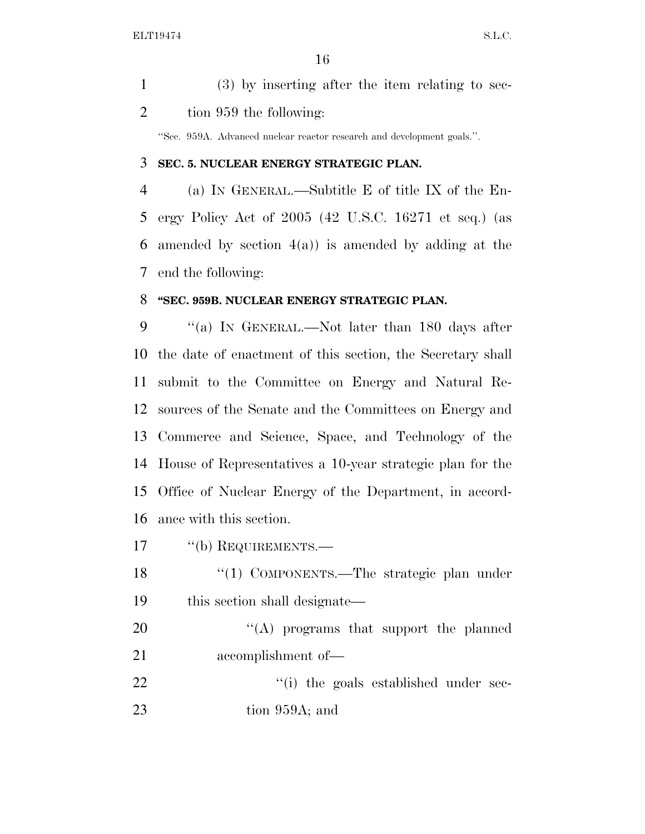| $(3)$ by inserting after the item relating to sec- |
|----------------------------------------------------|
| tion 959 the following:                            |

''Sec. 959A. Advanced nuclear reactor research and development goals.''.

### **SEC. 5. NUCLEAR ENERGY STRATEGIC PLAN.**

 (a) IN GENERAL.—Subtitle E of title IX of the En- ergy Policy Act of 2005 (42 U.S.C. 16271 et seq.) (as 6 amended by section  $4(a)$  is amended by adding at the end the following:

#### **''SEC. 959B. NUCLEAR ENERGY STRATEGIC PLAN.**

 ''(a) IN GENERAL.—Not later than 180 days after the date of enactment of this section, the Secretary shall submit to the Committee on Energy and Natural Re- sources of the Senate and the Committees on Energy and Commerce and Science, Space, and Technology of the House of Representatives a 10-year strategic plan for the Office of Nuclear Energy of the Department, in accord-ance with this section.

- 17 "(b) REQUIREMENTS.—
- 18 "(1) COMPONENTS.—The strategic plan under this section shall designate—

20 "'(A) programs that support the planned accomplishment of—

22  $\frac{1}{1}$  the goals established under sec-23 tion 959A; and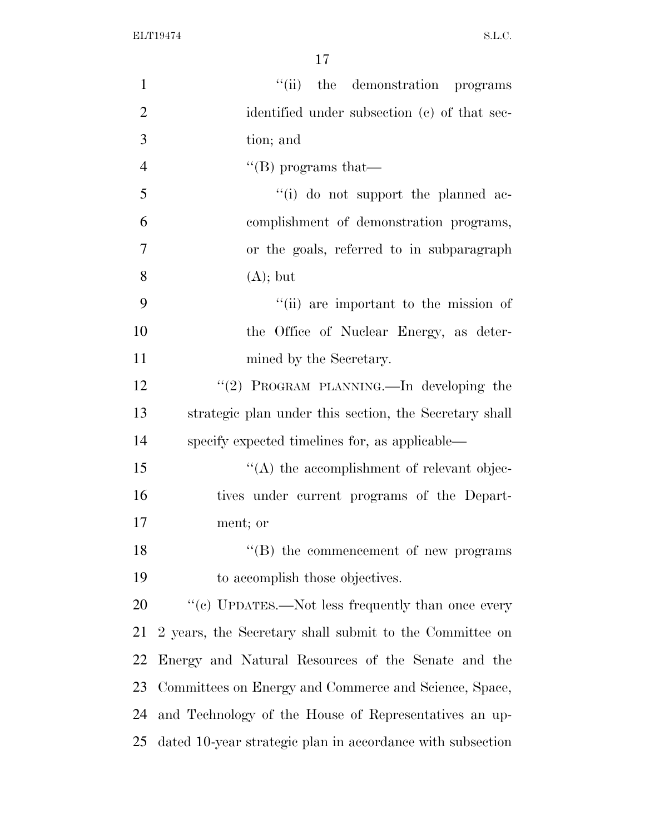| 1              | "(ii) the demonstration programs                           |
|----------------|------------------------------------------------------------|
| $\overline{2}$ | identified under subsection (c) of that sec-               |
| 3              | tion; and                                                  |
| $\overline{4}$ | "(B) programs that—                                        |
| 5              | "(i) do not support the planned ac-                        |
| 6              | complishment of demonstration programs,                    |
| $\overline{7}$ | or the goals, referred to in subparagraph                  |
| 8              | $(A);$ but                                                 |
| 9              | "(ii) are important to the mission of                      |
| 10             | the Office of Nuclear Energy, as deter-                    |
| 11             | mined by the Secretary.                                    |
| 12             | "(2) PROGRAM PLANNING.—In developing the                   |
| 13             | strategic plan under this section, the Secretary shall     |
| 14             | specify expected timelines for, as applicable—             |
| 15             | $\lq\lq$ the accomplishment of relevant objec-             |
| 16             | tives under current programs of the Depart-                |
| 17             | ment; or                                                   |
| 18             | "(B) the commencement of new programs                      |
| 19             | to accomplish those objectives.                            |
| 20             | "(c) UPDATES.—Not less frequently than once every          |
| 21             | 2 years, the Secretary shall submit to the Committee on    |
| 22             | Energy and Natural Resources of the Senate and the         |
| 23             | Committees on Energy and Commerce and Science, Space,      |
| 24             | and Technology of the House of Representatives an up-      |
| 25             | dated 10-year strategic plan in accordance with subsection |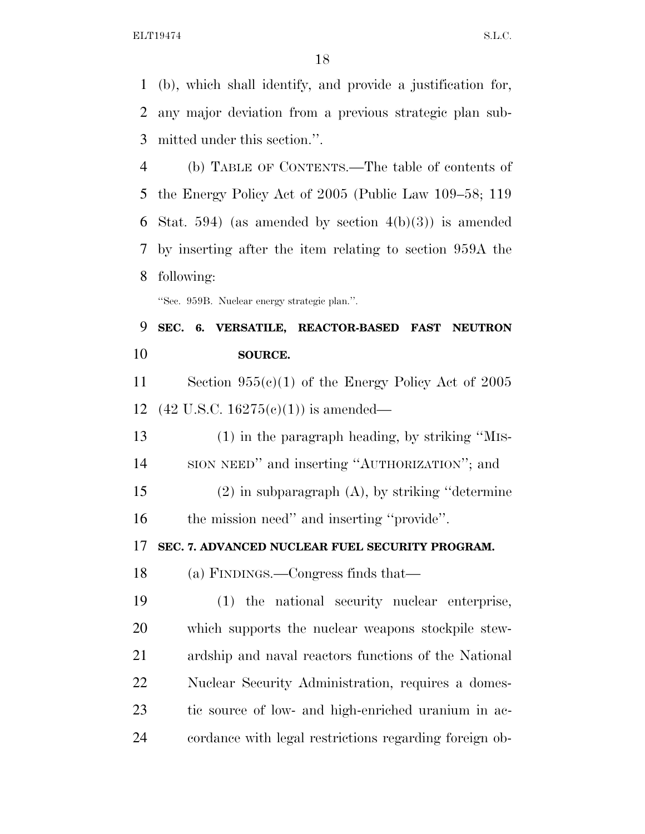(b), which shall identify, and provide a justification for, any major deviation from a previous strategic plan sub-mitted under this section.''.

 (b) TABLE OF CONTENTS.—The table of contents of the Energy Policy Act of 2005 (Public Law 109–58; 119 6 Stat. 594) (as amended by section  $4(b)(3)$ ) is amended by inserting after the item relating to section 959A the following:

''Sec. 959B. Nuclear energy strategic plan.''.

# **SEC. 6. VERSATILE, REACTOR-BASED FAST NEUTRON SOURCE.**

 Section 955(c)(1) of the Energy Policy Act of 2005 (42 U.S.C. 16275(c)(1)) is amended—

 (1) in the paragraph heading, by striking ''MIS-SION NEED'' and inserting ''AUTHORIZATION''; and

 (2) in subparagraph (A), by striking ''determine 16 the mission need" and inserting "provide".

**SEC. 7. ADVANCED NUCLEAR FUEL SECURITY PROGRAM.** 

(a) FINDINGS.—Congress finds that—

 (1) the national security nuclear enterprise, which supports the nuclear weapons stockpile stew- ardship and naval reactors functions of the National Nuclear Security Administration, requires a domes- tic source of low- and high-enriched uranium in ac-cordance with legal restrictions regarding foreign ob-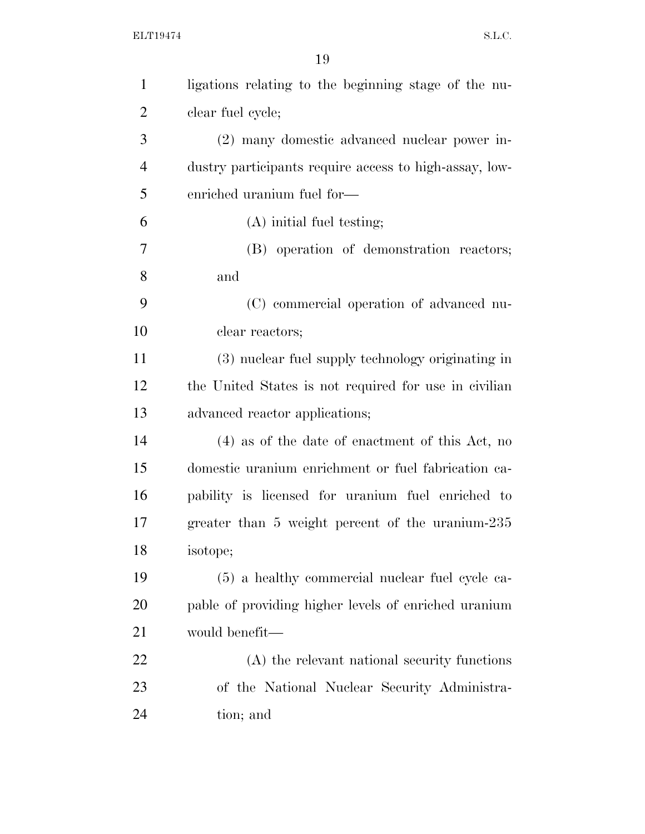| $\mathbf{1}$   | ligations relating to the beginning stage of the nu-   |
|----------------|--------------------------------------------------------|
| $\overline{2}$ | clear fuel cycle;                                      |
| 3              | (2) many domestic advanced nuclear power in-           |
| $\overline{4}$ | dustry participants require access to high-assay, low- |
| 5              | enriched uranium fuel for-                             |
| 6              | $(A)$ initial fuel testing;                            |
| 7              | (B) operation of demonstration reactors;               |
| 8              | and                                                    |
| 9              | (C) commercial operation of advanced nu-               |
| 10             | clear reactors;                                        |
| 11             | (3) nuclear fuel supply technology originating in      |
| 12             | the United States is not required for use in civilian  |
| 13             | advanced reactor applications;                         |
| 14             | $(4)$ as of the date of enactment of this Act, no      |
| 15             | domestic uranium enrichment or fuel fabrication ca-    |
| 16             | pability is licensed for uranium fuel enriched to      |
| 17             | greater than 5 weight percent of the uranium-235       |
| 18             | isotope;                                               |
| 19             | (5) a healthy commercial nuclear fuel cycle ca-        |
| <b>20</b>      | pable of providing higher levels of enriched uranium   |
| 21             | would benefit—                                         |
| 22             | (A) the relevant national security functions           |
| 23             | of the National Nuclear Security Administra-           |
| 24             | tion; and                                              |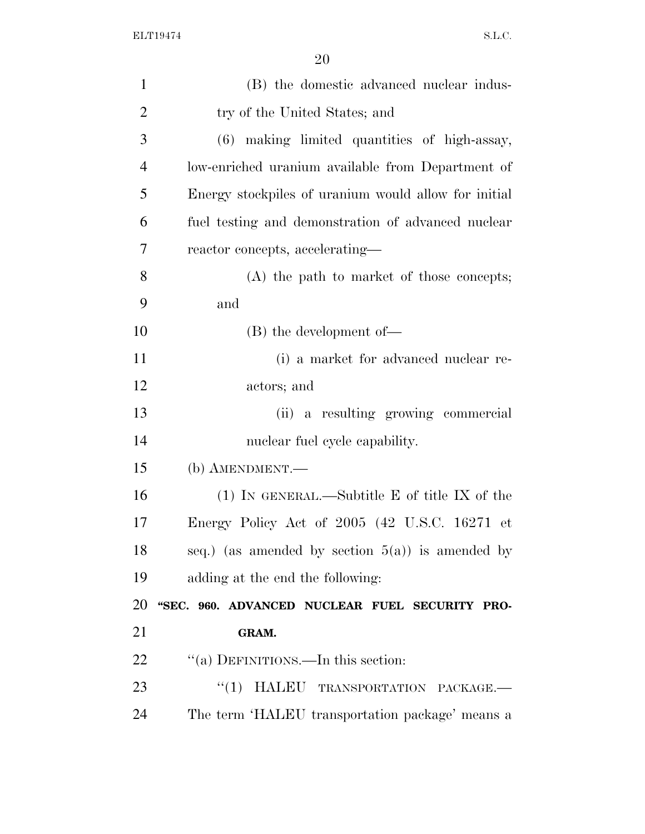| $\mathbf{1}$   | (B) the domestic advanced nuclear indus-             |
|----------------|------------------------------------------------------|
| $\overline{2}$ | try of the United States; and                        |
| 3              | (6) making limited quantities of high-assay,         |
| $\overline{4}$ | low-enriched uranium available from Department of    |
| 5              | Energy stockpiles of uranium would allow for initial |
| 6              | fuel testing and demonstration of advanced nuclear   |
| 7              | reactor concepts, accelerating—                      |
| 8              | (A) the path to market of those concepts;            |
| 9              | and                                                  |
| 10             | $(B)$ the development of —                           |
| 11             | (i) a market for advanced nuclear re-                |
| 12             | actors; and                                          |
| 13             | (ii) a resulting growing commercial                  |
| 14             | nuclear fuel cycle capability.                       |
|                |                                                      |
| 15             | (b) AMENDMENT.—                                      |
| 16             | $(1)$ In GENERAL.—Subtitle E of title IX of the      |
| 17             | Energy Policy Act of 2005 (42 U.S.C. 16271 et        |
| 18             | seq.) (as amended by section $5(a)$ ) is amended by  |
| 19             | adding at the end the following:                     |
|                | "SEC. 960. ADVANCED NUCLEAR FUEL SECURITY PRO-       |
| 20<br>21       | GRAM.                                                |
| 22             | "(a) DEFINITIONS.—In this section:                   |
| 23             | "(1) HALEU TRANSPORTATION PACKAGE.-                  |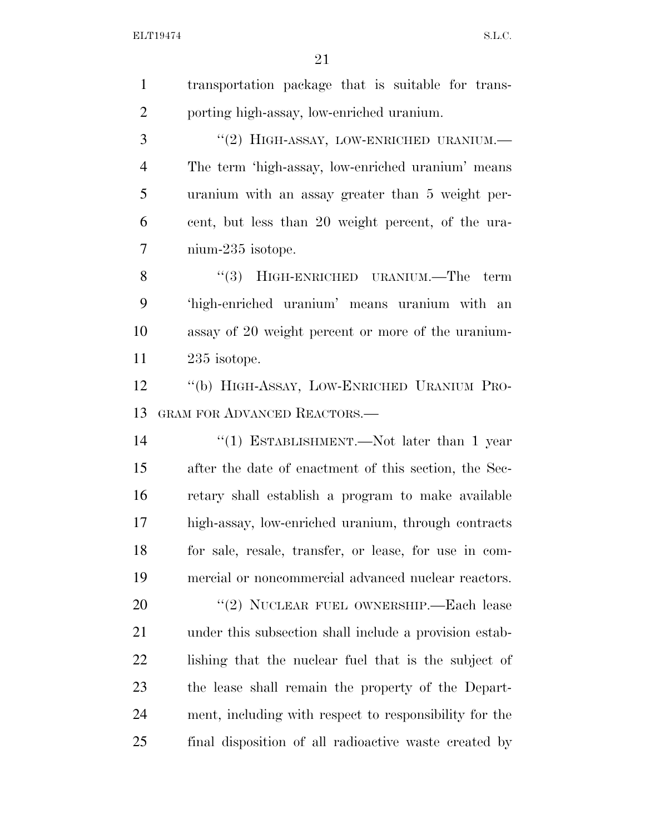| $\mathbf{1}$   | transportation package that is suitable for trans-     |
|----------------|--------------------------------------------------------|
| $\overline{2}$ | porting high-assay, low-enriched uranium.              |
| 3              | "(2) HIGH-ASSAY, LOW-ENRICHED URANIUM.-                |
| $\overline{4}$ | The term 'high-assay, low-enriched uranium' means      |
| 5              | uranium with an assay greater than 5 weight per-       |
| 6              | cent, but less than 20 weight percent, of the ura-     |
| 7              | nium-235 isotope.                                      |
| 8              | "(3) HIGH-ENRICHED URANIUM.—The term                   |
| 9              | 'high-enriched uranium' means uranium with an          |
| 10             | assay of 20 weight percent or more of the uranium-     |
| 11             | 235 isotope.                                           |
| 12             | "(b) HIGH-ASSAY, LOW-ENRICHED URANIUM PRO-             |
| 13             | <b>GRAM FOR ADVANCED REACTORS.—</b>                    |
| 14             | "(1) ESTABLISHMENT.—Not later than 1 year              |
| 15             | after the date of enactment of this section, the Sec-  |
| 16             | retary shall establish a program to make available     |
| 17             | high-assay, low-enriched uranium, through contracts    |
| 18             | for sale, resale, transfer, or lease, for use in com-  |
| 19             | mercial or noncommercial advanced nuclear reactors.    |
| 20             | "(2) NUCLEAR FUEL OWNERSHIP.—Each lease                |
| 21             | under this subsection shall include a provision estab- |
| 22             | lishing that the nuclear fuel that is the subject of   |
| 23             | the lease shall remain the property of the Depart-     |
| 24             | ment, including with respect to responsibility for the |
| 25             | final disposition of all radioactive waste created by  |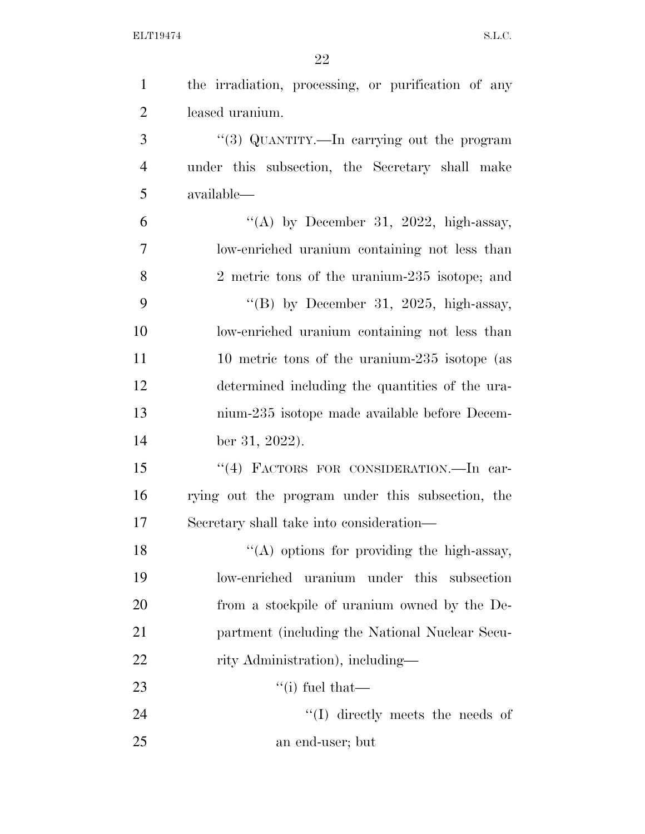| $\mathbf{1}$   | the irradiation, processing, or purification of any |
|----------------|-----------------------------------------------------|
| $\overline{2}$ | leased uranium.                                     |
| 3              | "(3) QUANTITY.—In carrying out the program          |
| $\overline{4}$ | under this subsection, the Secretary shall make     |
| 5              | available—                                          |
| 6              | "(A) by December 31, 2022, high-assay,              |
| 7              | low-enriched uranium containing not less than       |
| 8              | 2 metric tons of the uranium-235 isotope; and       |
| 9              | "(B) by December 31, 2025, high-assay,              |
| 10             | low-enriched uranium containing not less than       |
| 11             | 10 metric tons of the uranium-235 isotope (as       |
| 12             | determined including the quantities of the ura-     |
| 13             | nium-235 isotope made available before Decem-       |
| 14             | ber 31, 2022).                                      |
| 15             | "(4) FACTORS FOR CONSIDERATION.—In car-             |
| 16             | rying out the program under this subsection, the    |
| 17             | Secretary shall take into consideration—            |
| 18             | "(A) options for providing the high-assay,          |
| 19             | low-enriched uranium under this<br>subsection       |
| 20             | from a stockpile of uranium owned by the De-        |
| 21             | partment (including the National Nuclear Secu-      |
| 22             | rity Administration), including—                    |
| 23             | "(i) fuel that—                                     |
| 24             | $\lq\lq$ directly meets the needs of                |
| 25             | an end-user; but                                    |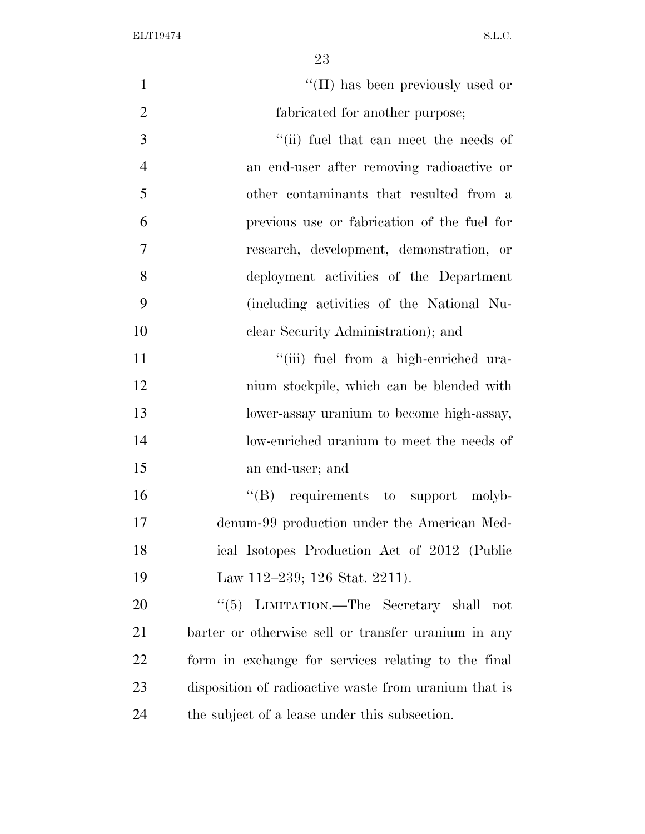| $\mathbf{1}$   | "(II) has been previously used or                     |
|----------------|-------------------------------------------------------|
| $\overline{2}$ | fabricated for another purpose;                       |
| 3              | "(ii) fuel that can meet the needs of                 |
| $\overline{4}$ | an end-user after removing radioactive or             |
| 5              | other contaminants that resulted from a               |
| 6              | previous use or fabrication of the fuel for           |
| $\overline{7}$ | research, development, demonstration, or              |
| 8              | deployment activities of the Department               |
| 9              | (including activities of the National Nu-             |
| 10             | clear Security Administration); and                   |
| 11             | "(iii) fuel from a high-enriched ura-                 |
| 12             | nium stockpile, which can be blended with             |
| 13             | lower-assay uranium to become high-assay,             |
| 14             | low-enriched uranium to meet the needs of             |
| 15             | an end-user; and                                      |
| 16             | $\lq\lq(B)$ requirements to support molyb-            |
| 17             | denum-99 production under the American Med-           |
| 18             | ical Isotopes Production Act of 2012 (Public          |
| 19             | Law 112–239; 126 Stat. 2211).                         |
| 20             | "(5) LIMITATION.—The Secretary shall not              |
| 21             | barter or otherwise sell or transfer uranium in any   |
| 22             | form in exchange for services relating to the final   |
| 23             | disposition of radioactive waste from uranium that is |
| 24             | the subject of a lease under this subsection.         |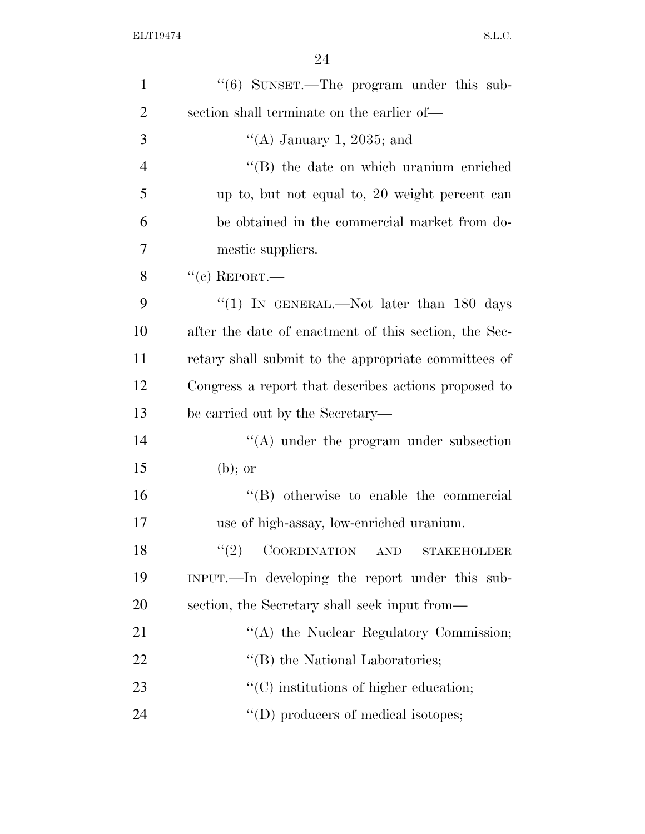| $\mathbf{1}$   | " $(6)$ SUNSET.—The program under this sub-             |
|----------------|---------------------------------------------------------|
| $\overline{2}$ | section shall terminate on the earlier of—              |
| 3              | "(A) January 1, 2035; and                               |
| $\overline{4}$ | "(B) the date on which uranium enriched                 |
| 5              | up to, but not equal to, 20 weight percent can          |
| 6              | be obtained in the commercial market from do-           |
| 7              | mestic suppliers.                                       |
| 8              | $``(c)$ REPORT.—                                        |
| 9              | "(1) IN GENERAL.—Not later than 180 days                |
| 10             | after the date of enactment of this section, the Sec-   |
| 11             | retary shall submit to the appropriate committees of    |
| 12             | Congress a report that describes actions proposed to    |
| 13             | be carried out by the Secretary—                        |
| 14             | $\cdot$ (A) under the program under subsection          |
| 15             | $(b)$ ; or                                              |
| 16             | "(B) otherwise to enable the commercial                 |
| 17             | use of high-assay, low-enriched uranium.                |
| 18             | (2)<br>COORDINATION<br><b>AND</b><br><b>STAKEHOLDER</b> |
| 19             | INPUT.—In developing the report under this sub-         |
| 20             | section, the Secretary shall seek input from—           |
| 21             | "(A) the Nuclear Regulatory Commission;                 |
| 22             | $\lq\lq$ the National Laboratories;                     |
| 23             | $\lq\lq$ institutions of higher education;              |
| 24             | $\lq\lq$ (D) producers of medical isotopes;             |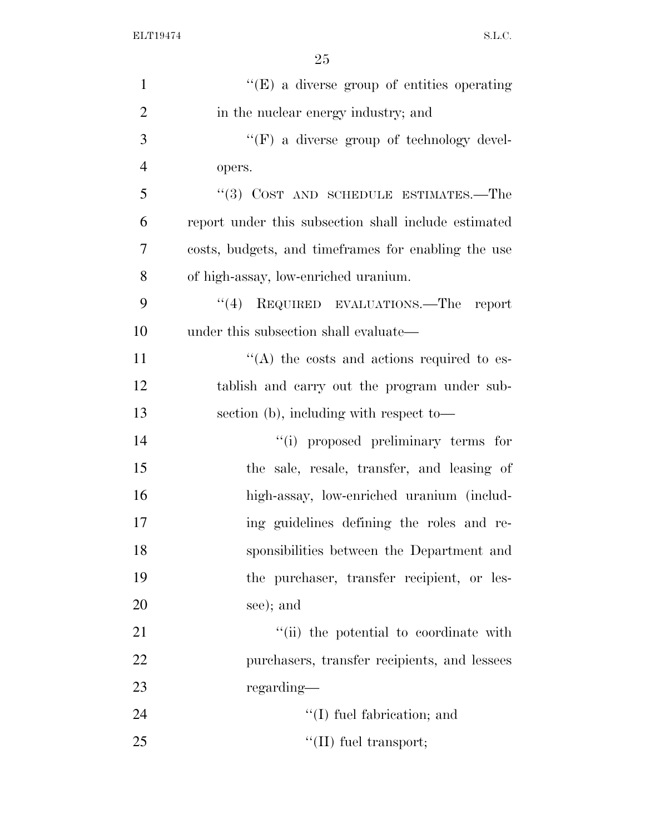| $\mathbf{1}$   | "(E) a diverse group of entities operating           |
|----------------|------------------------------------------------------|
| $\overline{2}$ | in the nuclear energy industry; and                  |
| 3              | $\lq\lq(F)$ a diverse group of technology devel-     |
| $\overline{4}$ | opers.                                               |
| 5              | $``(3)$ COST AND SCHEDULE ESTIMATES.—The             |
| 6              | report under this subsection shall include estimated |
| 7              | costs, budgets, and time frames for enabling the use |
| 8              | of high-assay, low-enriched uranium.                 |
| 9              | "(4) REQUIRED EVALUATIONS.—The report                |
| 10             | under this subsection shall evaluate—                |
| 11             | $\cdot$ (A) the costs and actions required to es-    |
| 12             | tablish and carry out the program under sub-         |
| 13             | section (b), including with respect to-              |
| 14             | "(i) proposed preliminary terms for                  |
| 15             | the sale, resale, transfer, and leasing of           |
| 16             | high-assay, low-enriched uranium (includ-            |
| 17             | ing guidelines defining the roles and re-            |
| 18             | sponsibilities between the Department and            |
| 19             | the purchaser, transfer recipient, or les-           |
| 20             | see); and                                            |
| 21             | "(ii) the potential to coordinate with               |
| 22             | purchasers, transfer recipients, and lessees         |
| 23             | regarding—                                           |
| 24             | $\lq\lq$ (I) fuel fabrication; and                   |
| 25             | $\lq\lq$ (II) fuel transport;                        |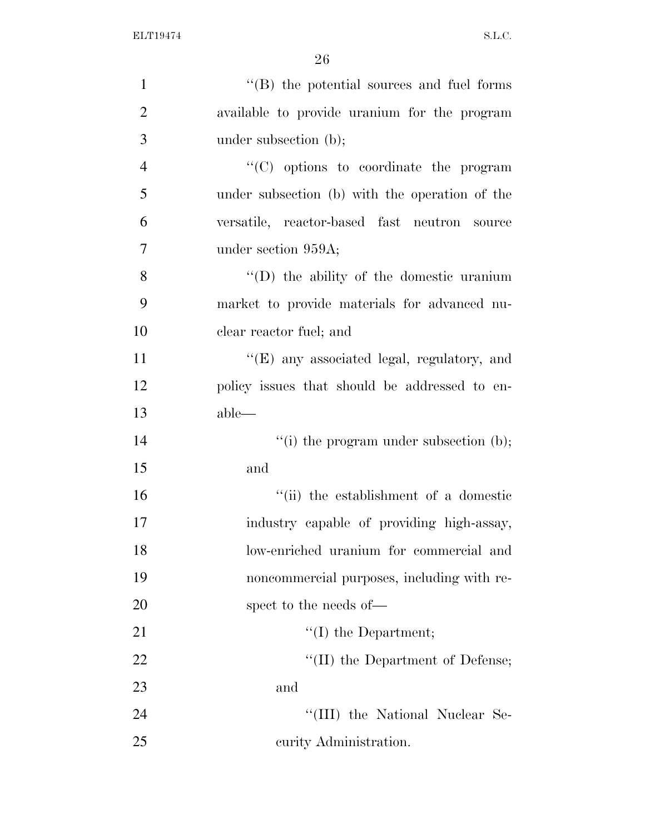| $\mathbf{1}$   | $\cdot$ (B) the potential sources and fuel forms |
|----------------|--------------------------------------------------|
| $\overline{2}$ | available to provide uranium for the program     |
| 3              | under subsection (b);                            |
| $\overline{4}$ | $\cdot$ (C) options to coordinate the program    |
| 5              | under subsection (b) with the operation of the   |
| 6              | versatile, reactor-based fast neutron source     |
| $\overline{7}$ | under section 959A;                              |
| 8              | $\lq\lq$ the ability of the domestic uranium     |
| 9              | market to provide materials for advanced nu-     |
| 10             | clear reactor fuel; and                          |
| 11             | "(E) any associated legal, regulatory, and       |
| 12             | policy issues that should be addressed to en-    |
| 13             | $able$ —                                         |
| 14             | "(i) the program under subsection $(b)$ ;        |
| 15             | and                                              |
| 16             | "(ii) the establishment of a domestic            |
| 17             | industry capable of providing high-assay,        |
| 18             | low-enriched uranium for commercial and          |
| 19             | noncommercial purposes, including with re-       |
| 20             | spect to the needs of—                           |
| 21             | $\lq\lq$ (I) the Department;                     |
| 22             | "(II) the Department of Defense;                 |
| 23             | and                                              |
| 24             | "(III) the National Nuclear Se-                  |
| 25             | curity Administration.                           |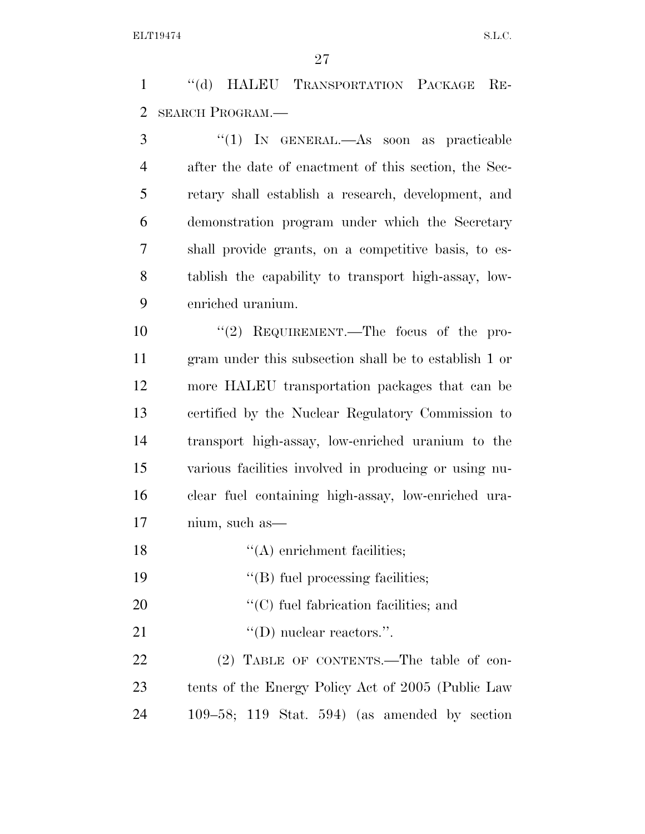''(d) HALEU TRANSPORTATION PACKAGE RE-SEARCH PROGRAM.—

 ''(1) IN GENERAL.—As soon as practicable after the date of enactment of this section, the Sec- retary shall establish a research, development, and demonstration program under which the Secretary shall provide grants, on a competitive basis, to es- tablish the capability to transport high-assay, low-enriched uranium.

 $\text{``(2)}$  REQUIREMENT.—The focus of the pro- gram under this subsection shall be to establish 1 or more HALEU transportation packages that can be certified by the Nuclear Regulatory Commission to transport high-assay, low-enriched uranium to the various facilities involved in producing or using nu- clear fuel containing high-assay, low-enriched ura-nium, such as—

- 18 ''(A) enrichment facilities;
- 19  $"$ (B) fuel processing facilities;
- 20  $\langle ^{\prime}(C) \rangle$  fuel fabrication facilities; and
- 21  $\text{``(D) nuclear readers."}.$

22 (2) TABLE OF CONTENTS.—The table of con- tents of the Energy Policy Act of 2005 (Public Law 109–58; 119 Stat. 594) (as amended by section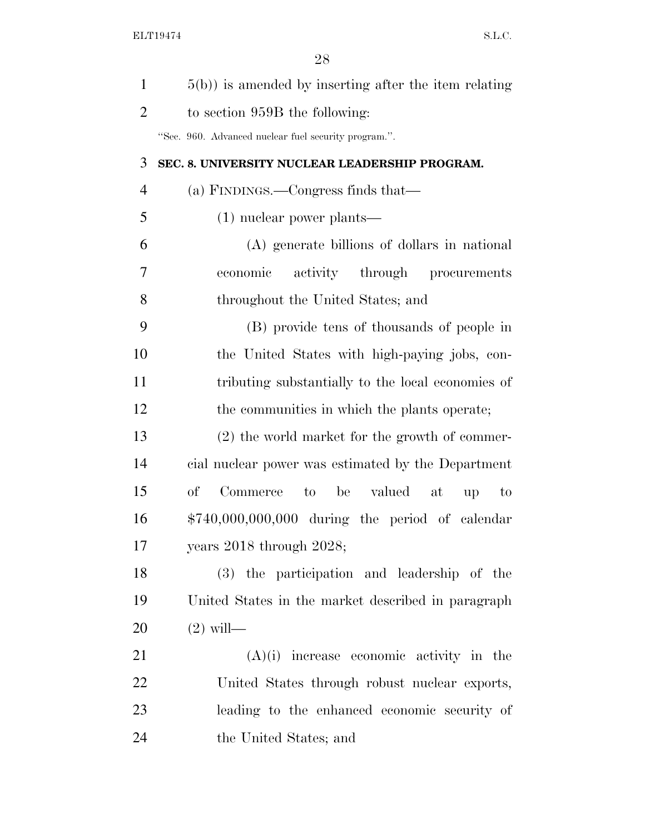| $\mathbf{1}$   | $5(b)$ ) is amended by inserting after the item relating |
|----------------|----------------------------------------------------------|
| $\overline{2}$ | to section 959B the following:                           |
|                | "Sec. 960. Advanced nuclear fuel security program.".     |
| 3              | SEC. 8. UNIVERSITY NUCLEAR LEADERSHIP PROGRAM.           |
| $\overline{4}$ | (a) FINDINGS.—Congress finds that—                       |
| 5              | $(1)$ nuclear power plants—                              |
| 6              | (A) generate billions of dollars in national             |
| 7              | economic activity through procurements                   |
| 8              | throughout the United States; and                        |
| 9              | (B) provide tens of thousands of people in               |
| 10             | the United States with high-paying jobs, con-            |
| 11             | tributing substantially to the local economies of        |
| 12             | the communities in which the plants operate;             |
| 13             | $(2)$ the world market for the growth of commer-         |
| 14             | cial nuclear power was estimated by the Department       |
| 15             | $\sigma f$<br>Commerce to be valued at<br>up<br>to       |
| 16             | $$740,000,000,000$ during the period of calendar         |
| 17             | years 2018 through 2028;                                 |
| 18             | (3) the participation and leadership of the              |
| 19             | United States in the market described in paragraph       |
| 20             | $(2)$ will—                                              |
| 21             | $(A)(i)$ increase economic activity in the               |
| 22             | United States through robust nuclear exports,            |
| 23             | leading to the enhanced economic security of             |
| 24             | the United States; and                                   |
|                |                                                          |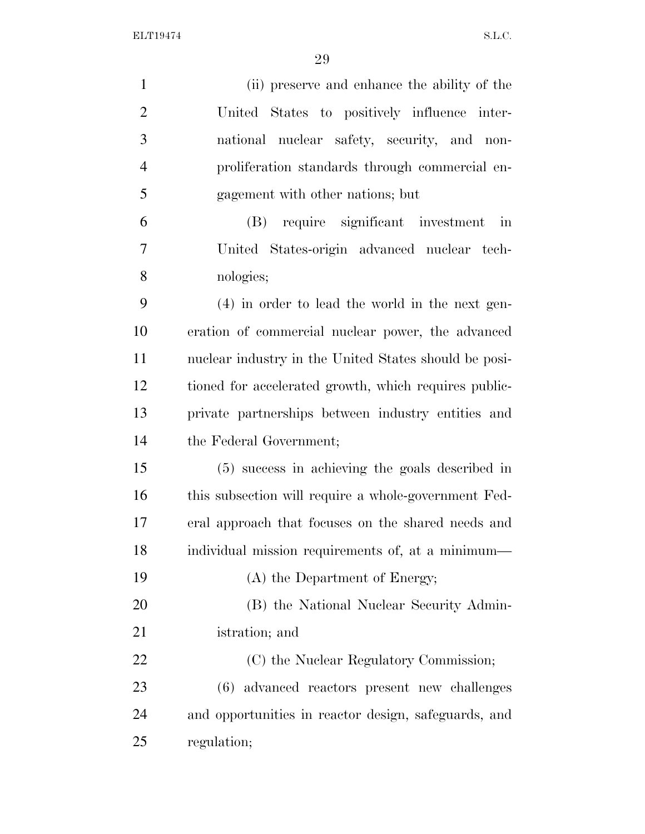| $\mathbf{1}$   | (ii) preserve and enhance the ability of the                    |
|----------------|-----------------------------------------------------------------|
| $\overline{2}$ | United States to positively influence inter-                    |
| 3              | national nuclear safety, security, and non-                     |
| $\overline{4}$ | proliferation standards through commercial en-                  |
| 5              | gagement with other nations; but                                |
| 6              | require significant investment<br>(B)<br>$\overline{\text{in}}$ |
| 7              | United States-origin advanced nuclear tech-                     |
| 8              | nologies;                                                       |
| 9              | $(4)$ in order to lead the world in the next gen-               |
| 10             | eration of commercial nuclear power, the advanced               |
| 11             | nuclear industry in the United States should be posi-           |
| 12             | tioned for accelerated growth, which requires public-           |
| 13             | private partnerships between industry entities and              |
| 14             | the Federal Government;                                         |
| 15             | (5) success in achieving the goals described in                 |
| 16             | this subsection will require a whole-government Fed-            |
| 17             | eral approach that focuses on the shared needs and              |
| 18             | individual mission requirements of, at a minimum—               |
| 19             | (A) the Department of Energy;                                   |
| 20             | (B) the National Nuclear Security Admin-                        |
| 21             | istration; and                                                  |
| 22             | (C) the Nuclear Regulatory Commission;                          |
| 23             | (6) advanced reactors present new challenges                    |
| 24             | and opportunities in reactor design, safeguards, and            |
| 25             | regulation;                                                     |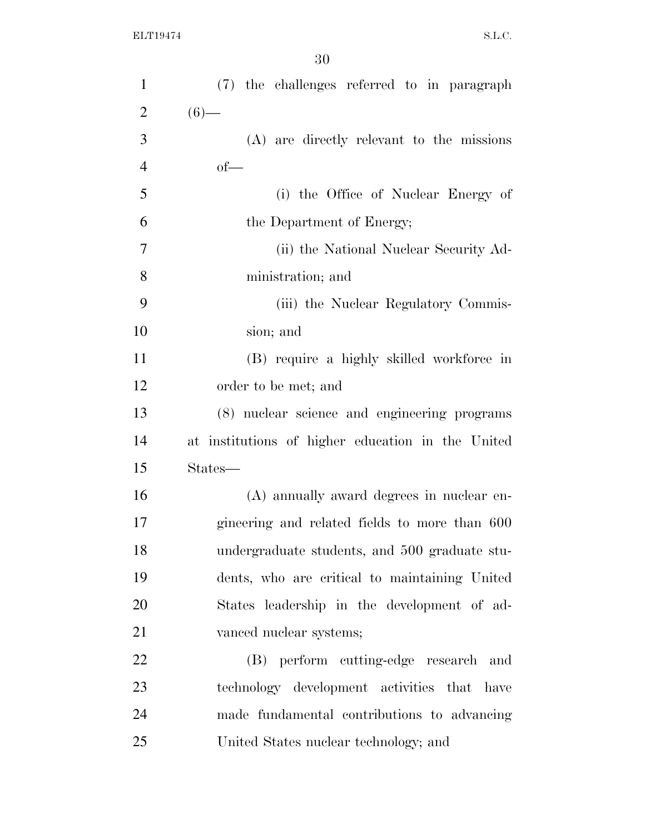| $\mathbf{1}$   | (7) the challenges referred to in paragraph       |
|----------------|---------------------------------------------------|
| $\overline{2}$ | $(6)$ —                                           |
| 3              | (A) are directly relevant to the missions         |
| $\overline{4}$ | $of$ —                                            |
| 5              | (i) the Office of Nuclear Energy of               |
| 6              | the Department of Energy;                         |
| 7              | (ii) the National Nuclear Security Ad-            |
| 8              | ministration; and                                 |
| 9              | (iii) the Nuclear Regulatory Commis-              |
| 10             | sion; and                                         |
| 11             | (B) require a highly skilled workforce in         |
| 12             | order to be met; and                              |
| 13             | (8) nuclear science and engineering programs      |
| 14             | at institutions of higher education in the United |
| 15             | States—                                           |
| 16             | (A) annually award degrees in nuclear en-         |
| 17             | gineering and related fields to more than 600     |
| 18             | undergraduate students, and 500 graduate stu-     |
| 19             | dents, who are critical to maintaining United     |
| 20             | States leadership in the development of ad-       |
| 21             | vanced nuclear systems;                           |
| 22             | (B) perform cutting-edge research and             |
| 23             | technology development activities that have       |
| 24             | made fundamental contributions to advancing       |
| 25             | United States nuclear technology; and             |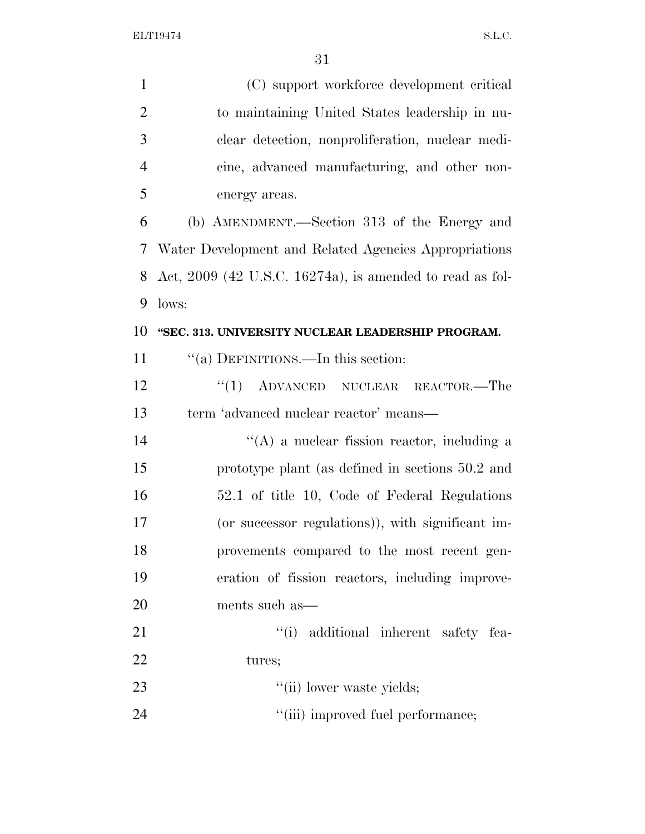| $\mathbf{1}$   | (C) support workforce development critical                 |
|----------------|------------------------------------------------------------|
| $\overline{2}$ | to maintaining United States leadership in nu-             |
| 3              | clear detection, nonproliferation, nuclear medi-           |
| $\overline{4}$ | cine, advanced manufacturing, and other non-               |
| 5              | energy areas.                                              |
| 6              | (b) AMENDMENT.—Section 313 of the Energy and               |
| 7              | Water Development and Related Agencies Appropriations      |
| 8              | Act, $2009$ (42 U.S.C. 16274a), is amended to read as fol- |
| 9              | lows:                                                      |
| 10             | "SEC. 313. UNIVERSITY NUCLEAR LEADERSHIP PROGRAM.          |
| 11             | "(a) DEFINITIONS.—In this section:                         |
| 12             | $(1)$ ADVANCED NUCLEAR REACTOR.—The                        |
| 13             | term 'advanced nuclear reactor' means—                     |
| 14             | $\lq\lq$ a nuclear fission reactor, including a            |
| 15             | prototype plant (as defined in sections 50.2 and           |
| 16             | 52.1 of title 10, Code of Federal Regulations              |
| 17             | (or successor regulations)), with significant im-          |
| 18             | provements compared to the most recent gen-                |
| 19             | eration of fission reactors, including improve-            |
| 20             | ments such as—                                             |
| 21             | "(i) additional inherent safety fea-                       |
| 22             | tures;                                                     |
| 23             | "(ii) lower waste yields;                                  |
| 24             | "(iii) improved fuel performance;                          |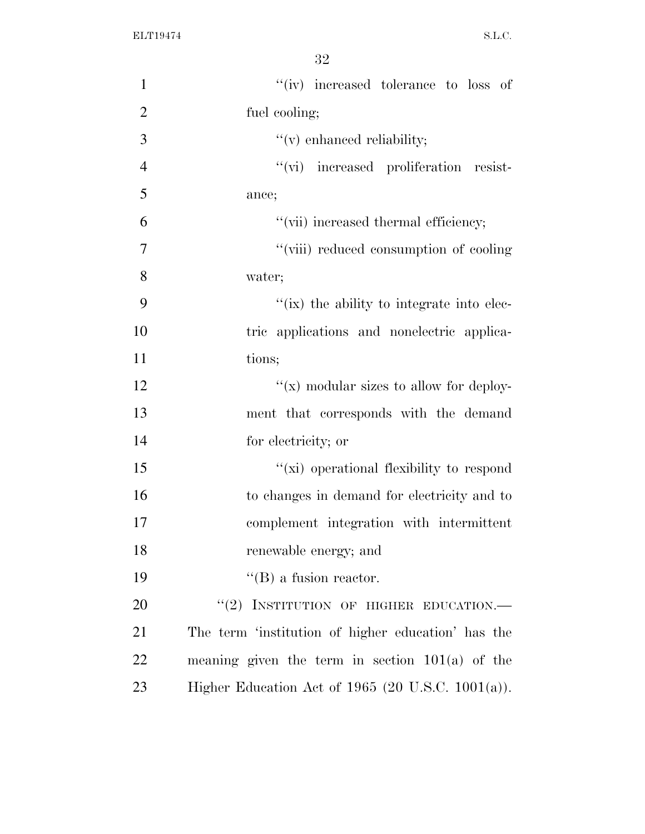| $\mathbf{1}$   | "(iv) increased tolerance to loss of                |
|----------------|-----------------------------------------------------|
| $\overline{2}$ | fuel cooling;                                       |
| 3              | $f'(v)$ enhanced reliability;                       |
| $\overline{4}$ | "(vi) increased proliferation resist-               |
| 5              | ance;                                               |
| 6              | "(vii) increased thermal efficiency;                |
| $\tau$         | "(viii) reduced consumption of cooling              |
| 8              | water;                                              |
| 9              | "(ix) the ability to integrate into elec-           |
| 10             | tric applications and nonelectric applica-          |
| 11             | tions;                                              |
| 12             | $``(x)$ modular sizes to allow for deploy-          |
| 13             | ment that corresponds with the demand               |
| 14             | for electricity; or                                 |
| 15             | "(xi) operational flexibility to respond            |
| 16             | to changes in demand for electricity and to         |
| 17             | complement integration with intermittent            |
| 18             | renewable energy; and                               |
| 19             | $\lq\lq (B)$ a fusion reactor.                      |
| 20             | "(2) INSTITUTION OF HIGHER EDUCATION.—              |
| 21             | The term 'institution of higher education' has the  |
| 22             | meaning given the term in section $101(a)$ of the   |
| 23             | Higher Education Act of $1965$ (20 U.S.C. 1001(a)). |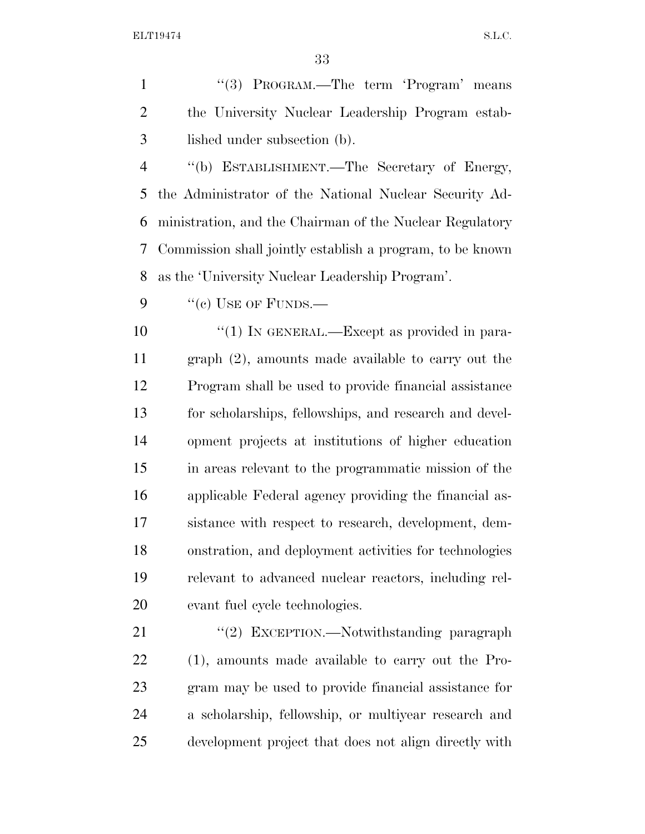1 "(3) PROGRAM.—The term 'Program' means the University Nuclear Leadership Program estab-lished under subsection (b).

 ''(b) ESTABLISHMENT.—The Secretary of Energy, the Administrator of the National Nuclear Security Ad- ministration, and the Chairman of the Nuclear Regulatory Commission shall jointly establish a program, to be known as the 'University Nuclear Leadership Program'.

9  $"$ (c) USE OF FUNDS.—

 $\frac{10}{10}$  IN GENERAL.—Except as provided in para- graph (2), amounts made available to carry out the Program shall be used to provide financial assistance for scholarships, fellowships, and research and devel- opment projects at institutions of higher education in areas relevant to the programmatic mission of the applicable Federal agency providing the financial as- sistance with respect to research, development, dem- onstration, and deployment activities for technologies relevant to advanced nuclear reactors, including rel-evant fuel cycle technologies.

21 "(2) EXCEPTION.—Notwithstanding paragraph (1), amounts made available to carry out the Pro- gram may be used to provide financial assistance for a scholarship, fellowship, or multiyear research and development project that does not align directly with